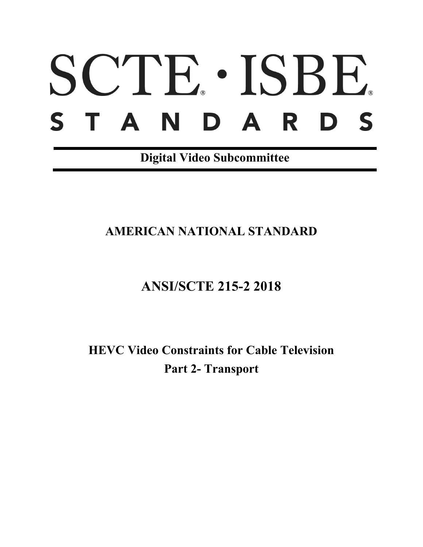# SCTE · ISBE. STANDARDS

**Digital Video Subcommittee**

## **AMERICAN NATIONAL STANDARD**

# **ANSI/SCTE 215-2 2018**

**HEVC Video Constraints for Cable Television Part 2- Transport**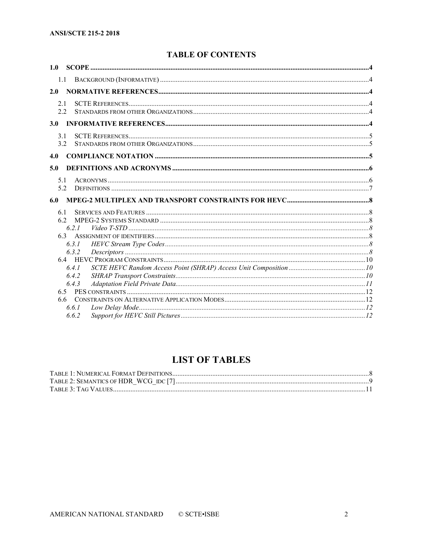### **TABLE OF CONTENTS**

| 1.0              |                |  |
|------------------|----------------|--|
| 1.1              |                |  |
| 2.0              |                |  |
| 2.1<br>2.2       |                |  |
| 3.0 <sub>1</sub> |                |  |
| 3.1<br>3.2       |                |  |
| 4.0              |                |  |
| 5.0              |                |  |
| 5.1<br>5.2       |                |  |
|                  |                |  |
| 6.0              |                |  |
| 6.1<br>62<br>6.3 | 6.2.1<br>6.3.1 |  |
|                  | 6.3.2<br>6.4.1 |  |
| 6.5              | 6.4.2<br>6.4.3 |  |

## **LIST OF TABLES**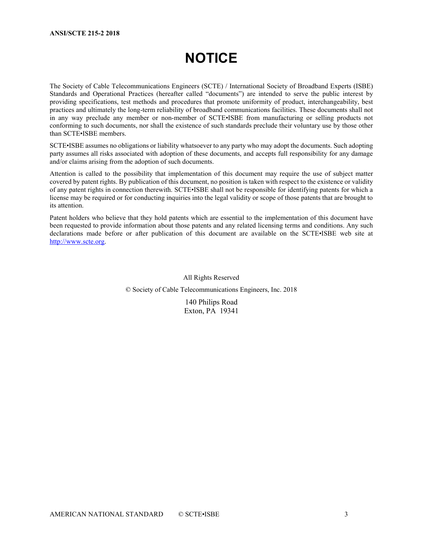# **NOTICE**

The Society of Cable Telecommunications Engineers (SCTE) / International Society of Broadband Experts (ISBE) Standards and Operational Practices (hereafter called "documents") are intended to serve the public interest by providing specifications, test methods and procedures that promote uniformity of product, interchangeability, best practices and ultimately the long-term reliability of broadband communications facilities. These documents shall not in any way preclude any member or non-member of SCTE•ISBE from manufacturing or selling products not conforming to such documents, nor shall the existence of such standards preclude their voluntary use by those other than SCTE•ISBE members.

SCTE•ISBE assumes no obligations or liability whatsoever to any party who may adopt the documents. Such adopting party assumes all risks associated with adoption of these documents, and accepts full responsibility for any damage and/or claims arising from the adoption of such documents.

Attention is called to the possibility that implementation of this document may require the use of subject matter covered by patent rights. By publication of this document, no position is taken with respect to the existence or validity of any patent rights in connection therewith. SCTE•ISBE shall not be responsible for identifying patents for which a license may be required or for conducting inquiries into the legal validity or scope of those patents that are brought to its attention.

Patent holders who believe that they hold patents which are essential to the implementation of this document have been requested to provide information about those patents and any related licensing terms and conditions. Any such declarations made before or after publication of this document are available on the SCTE•ISBE web site at [http://www.scte.org.](http://www.scte.org/)

> All Rights Reserved © Society of Cable Telecommunications Engineers, Inc. 2018

> > 140 Philips Road Exton, PA 19341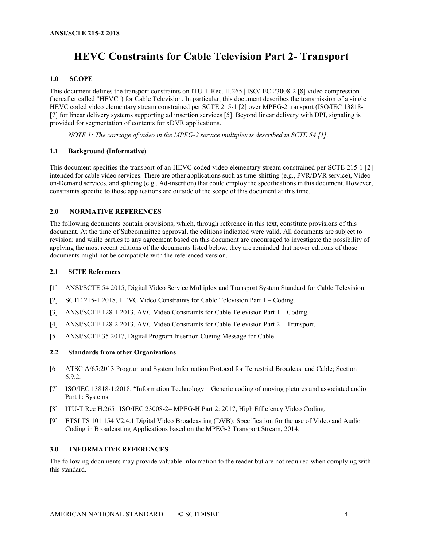## **HEVC Constraints for Cable Television Part 2- Transport**

#### <span id="page-3-0"></span>**1.0 SCOPE**

This document defines the transport constraints on ITU-T Rec. H.265 | ISO/IEC 23008-2 [\[8\]](#page-3-6) video compression (hereafter called "HEVC") for Cable Television. In particular, this document describes the transmission of a single HEVC coded video elementary stream constrained per SCTE 215-1 [\[2\]](#page-3-7) over MPEG-2 transport (ISO/IEC 13818-1 [\[7\]](#page-3-8) for linear delivery systems supporting ad insertion services [\[5\].](#page-3-9) Beyond linear delivery with DPI, signaling is provided for segmentation of contents for xDVR applications.

*NOTE 1: The carriage of video in the MPEG-2 service multiplex is described in SCTE 54 [\[1\].](#page-3-10)*

#### <span id="page-3-1"></span>**1.1 Background (Informative)**

This document specifies the transport of an HEVC coded video elementary stream constrained per SCTE 215-1 [\[2\]](#page-3-7) intended for cable video services. There are other applications such as time-shifting (e.g., PVR/DVR service), Videoon-Demand services, and splicing (e.g., Ad-insertion) that could employ the specifications in this document. However, constraints specific to those applications are outside of the scope of this document at this time.

#### <span id="page-3-2"></span>**2.0 NORMATIVE REFERENCES**

The following documents contain provisions, which, through reference in this text, constitute provisions of this document. At the time of Subcommittee approval, the editions indicated were valid. All documents are subject to revision; and while parties to any agreement based on this document are encouraged to investigate the possibility of applying the most recent editions of the documents listed below, they are reminded that newer editions of those documents might not be compatible with the referenced version.

#### <span id="page-3-3"></span>**2.1 SCTE References**

- <span id="page-3-10"></span>[1] ANSI/SCTE 54 2015, Digital Video Service Multiplex and Transport System Standard for Cable Television.
- <span id="page-3-7"></span>[2] SCTE 215-1 2018, HEVC Video Constraints for Cable Television Part 1 – Coding.
- [3] ANSI/SCTE 128-1 2013, AVC Video Constraints for Cable Television Part 1 Coding.
- [4] ANSI/SCTE 128-2 2013, AVC Video Constraints for Cable Television Part 2 Transport.
- <span id="page-3-9"></span>[5] ANSI/SCTE 35 2017, Digital Program Insertion Cueing Message for Cable.
- <span id="page-3-4"></span>**2.2 Standards from other Organizations**
- [6] ATSC A/65:2013 Program and System Information Protocol for Terrestrial Broadcast and Cable; Section 6.9.2.
- <span id="page-3-8"></span>[7] ISO/IEC 13818-1:2018, "Information Technology – Generic coding of moving pictures and associated audio – Part 1: Systems
- <span id="page-3-6"></span>[8] ITU-T Rec H.265 | ISO/IEC 23008-2– MPEG-H Part 2: 2017, High Efficiency Video Coding.
- [9] ETSI TS 101 154 V2.4.1 Digital Video Broadcasting (DVB): Specification for the use of Video and Audio Coding in Broadcasting Applications based on the MPEG-2 Transport Stream, 2014.

#### <span id="page-3-5"></span>**3.0 INFORMATIVE REFERENCES**

The following documents may provide valuable information to the reader but are not required when complying with this standard.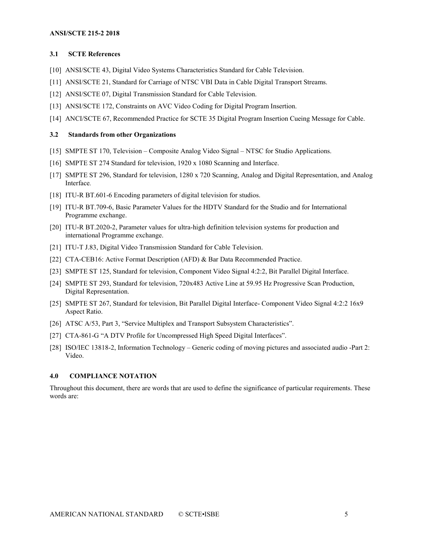#### <span id="page-4-0"></span>**3.1 SCTE References**

- [10] ANSI/SCTE 43, Digital Video Systems Characteristics Standard for Cable Television.
- [11] ANSI/SCTE 21, Standard for Carriage of NTSC VBI Data in Cable Digital Transport Streams.
- <span id="page-4-3"></span>[12] ANSI/SCTE 07, Digital Transmission Standard for Cable Television.
- [13] ANSI/SCTE 172, Constraints on AVC Video Coding for Digital Program Insertion.
- [14] ANCI/SCTE 67, Recommended Practice for SCTE 35 Digital Program Insertion Cueing Message for Cable.

#### <span id="page-4-1"></span>**3.2 Standards from other Organizations**

- [15] SMPTE ST 170, Television Composite Analog Video Signal NTSC for Studio Applications.
- [16] SMPTE ST 274 Standard for television, 1920 x 1080 Scanning and Interface.
- [17] SMPTE ST 296, Standard for television, 1280 x 720 Scanning, Analog and Digital Representation, and Analog Interface*.*
- [18] ITU-R BT.601-6 Encoding parameters of digital television for studios.
- [19] ITU-R BT.709-6, Basic Parameter Values for the HDTV Standard for the Studio and for International Programme exchange.
- [20] ITU-R BT.2020-2, Parameter values for ultra-high definition television systems for production and international Programme exchange.
- [21] ITU-T J.83, Digital Video Transmission Standard for Cable Television.
- [22] CTA-CEB16: Active Format Description (AFD) & Bar Data Recommended Practice.
- [23] SMPTE ST 125, Standard for television, Component Video Signal 4:2:2, Bit Parallel Digital Interface.
- [24] SMPTE ST 293, Standard for television, 720x483 Active Line at 59.95 Hz Progressive Scan Production, Digital Representation.
- [25] SMPTE ST 267, Standard for television, Bit Parallel Digital Interface- Component Video Signal 4:2:2 16x9 Aspect Ratio.
- [26] ATSC A/53, Part 3, "Service Multiplex and Transport Subsystem Characteristics".
- [27] CTA-861-G "A DTV Profile for Uncompressed High Speed Digital Interfaces".
- [28] ISO/IEC 13818-2, Information Technology Generic coding of moving pictures and associated audio -Part 2: Video.

#### <span id="page-4-2"></span>**4.0 COMPLIANCE NOTATION**

Throughout this document, there are words that are used to define the significance of particular requirements. These words are: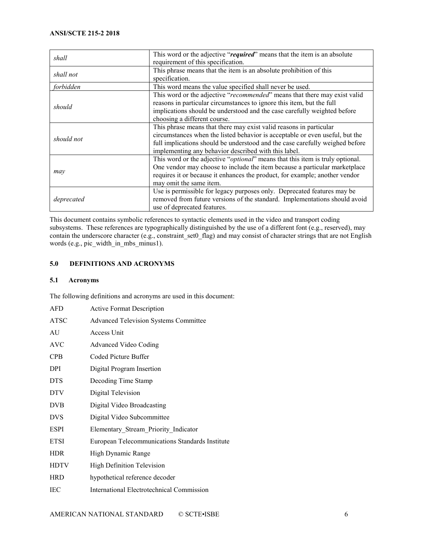| shall      | This word or the adjective "required" means that the item is an absolute<br>requirement of this specification.                                                                                                                                                                             |
|------------|--------------------------------------------------------------------------------------------------------------------------------------------------------------------------------------------------------------------------------------------------------------------------------------------|
| shall not  | This phrase means that the item is an absolute prohibition of this<br>specification.                                                                                                                                                                                                       |
| forbidden  | This word means the value specified shall never be used.                                                                                                                                                                                                                                   |
| should     | This word or the adjective "recommended" means that there may exist valid<br>reasons in particular circumstances to ignore this item, but the full<br>implications should be understood and the case carefully weighted before<br>choosing a different course.                             |
| should not | This phrase means that there may exist valid reasons in particular<br>circumstances when the listed behavior is acceptable or even useful, but the<br>full implications should be understood and the case carefully weighed before<br>implementing any behavior described with this label. |
| may        | This word or the adjective " <i>optional</i> " means that this item is truly optional.<br>One vendor may choose to include the item because a particular marketplace<br>requires it or because it enhances the product, for example; another vendor<br>may omit the same item.             |
| deprecated | Use is permissible for legacy purposes only. Deprecated features may be<br>removed from future versions of the standard. Implementations should avoid<br>use of deprecated features.                                                                                                       |

This document contains symbolic references to syntactic elements used in the video and transport coding subsystems. These references are typographically distinguished by the use of a different font (e.g., reserved), may contain the underscore character (e.g., constraint\_set0\_flag) and may consist of character strings that are not English words (e.g., pic\_width\_in\_mbs\_minus1).

#### <span id="page-5-0"></span>**5.0 DEFINITIONS AND ACRONYMS**

#### <span id="page-5-1"></span>**5.1 Acronyms**

The following definitions and acronyms are used in this document:

| <b>AFD</b>  | <b>Active Format Description</b>                |
|-------------|-------------------------------------------------|
| <b>ATSC</b> | <b>Advanced Television Systems Committee</b>    |
| AU          | Access Unit                                     |
| <b>AVC</b>  | <b>Advanced Video Coding</b>                    |
| CPB         | Coded Picture Buffer                            |
| <b>DPI</b>  | Digital Program Insertion                       |
| <b>DTS</b>  | Decoding Time Stamp                             |
| <b>DTV</b>  | Digital Television                              |
| <b>DVB</b>  | Digital Video Broadcasting                      |
| <b>DVS</b>  | Digital Video Subcommittee                      |
| <b>ESPI</b> | Elementary Stream Priority Indicator            |
| <b>ETSI</b> | European Telecommunications Standards Institute |
| <b>HDR</b>  | High Dynamic Range                              |
| <b>HDTV</b> | <b>High Definition Television</b>               |
| <b>HRD</b>  | hypothetical reference decoder                  |
| IEC         | International Electrotechnical Commission       |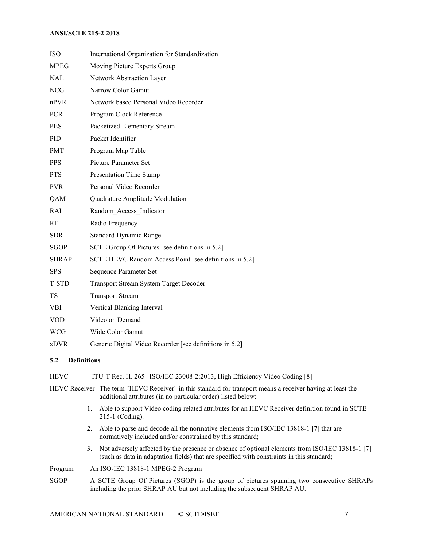| <b>ISO</b>   | International Organization for Standardization          |
|--------------|---------------------------------------------------------|
| <b>MPEG</b>  | Moving Picture Experts Group                            |
| <b>NAL</b>   | Network Abstraction Layer                               |
| <b>NCG</b>   | Narrow Color Gamut                                      |
| $n$ PVR      | Network based Personal Video Recorder                   |
| <b>PCR</b>   | Program Clock Reference                                 |
| <b>PES</b>   | Packetized Elementary Stream                            |
| PID          | Packet Identifier                                       |
| <b>PMT</b>   | Program Map Table                                       |
| <b>PPS</b>   | Picture Parameter Set                                   |
| <b>PTS</b>   | <b>Presentation Time Stamp</b>                          |
| <b>PVR</b>   | Personal Video Recorder                                 |
| QAM          | Quadrature Amplitude Modulation                         |
| <b>RAI</b>   | Random Access Indicator                                 |
| RF           | Radio Frequency                                         |
| <b>SDR</b>   | <b>Standard Dynamic Range</b>                           |
| <b>SGOP</b>  | SCTE Group Of Pictures [see definitions in 5.2]         |
| <b>SHRAP</b> | SCTE HEVC Random Access Point [see definitions in 5.2]  |
| <b>SPS</b>   | Sequence Parameter Set                                  |
| T-STD        | <b>Transport Stream System Target Decoder</b>           |
| TS           | <b>Transport Stream</b>                                 |
| <b>VBI</b>   | Vertical Blanking Interval                              |
| <b>VOD</b>   | Video on Demand                                         |
| <b>WCG</b>   | Wide Color Gamut                                        |
| <b>xDVR</b>  | Generic Digital Video Recorder [see definitions in 5.2] |

#### <span id="page-6-0"></span>**5.2 Definitions**

HEVC ITU-T Rec. H. 265 | ISO/IEC 23008-2:2013, High Efficiency Video Coding [8]

HEVC Receiver The term "HEVC Receiver" in this standard for transport means a receiver having at least the additional attributes (in no particular order) listed below:

- 1. Able to support Video coding related attributes for an HEVC Receiver definition found in SCTE 215-1 (Coding).
- 2. Able to parse and decode all the normative elements from ISO/IEC 13818-1 [7] that are normatively included and/or constrained by this standard;
- 3. Not adversely affected by the presence or absence of optional elements from ISO/IEC 13818-1 [7] (such as data in adaptation fields) that are specified with constraints in this standard;

Program An ISO-IEC 13818-1 MPEG-2 Program

SGOP A SCTE Group Of Pictures (SGOP) is the group of pictures spanning two consecutive SHRAPs including the prior SHRAP AU but not including the subsequent SHRAP AU.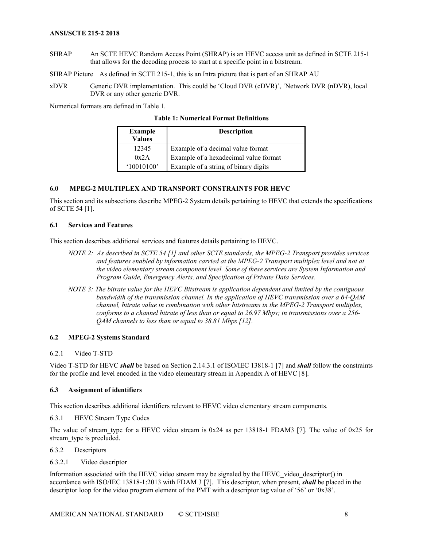SHRAP An SCTE HEVC Random Access Point (SHRAP) is an HEVC access unit as defined in SCTE 215-1 that allows for the decoding process to start at a specific point in a bitstream.

SHRAP Picture As defined in SCTE 215-1, this is an Intra picture that is part of an SHRAP AU

xDVR Generic DVR implementation. This could be 'Cloud DVR (cDVR)', 'Network DVR (nDVR), local DVR or any other generic DVR.

<span id="page-7-7"></span>Numerical formats are defined in [Table 1.](#page-7-7)

|  | <b>Table 1: Numerical Format Definitions</b> |  |  |
|--|----------------------------------------------|--|--|
|--|----------------------------------------------|--|--|

| <b>Example</b><br><b>Values</b> | <b>Description</b>                    |
|---------------------------------|---------------------------------------|
| 12345                           | Example of a decimal value format     |
| 0x2A                            | Example of a hexadecimal value format |
| '10010100'                      | Example of a string of binary digits  |

#### <span id="page-7-0"></span>**6.0 MPEG-2 MULTIPLEX AND TRANSPORT CONSTRAINTS FOR HEVC**

This section and its subsections describe MPEG-2 System details pertaining to HEVC that extends the specifications of SCTE 54 [\[1\].](#page-3-10)

#### <span id="page-7-1"></span>**6.1 Services and Features**

This section describes additional services and features details pertaining to HEVC.

- *NOTE 2: As described in SCTE 54 [\[1\]](#page-3-10) and other SCTE standards, the MPEG-2 Transport provides services and features enabled by information carried at the MPEG-2 Transport multiplex level and not at the video elementary stream component level. Some of these services are System Information and Program Guide, Emergency Alerts, and Specification of Private Data Services.*
- *NOTE 3: The bitrate value for the HEVC Bitstream is application dependent and limited by the contiguous bandwidth of the transmission channel. In the application of HEVC transmission over a 64-QAM channel, bitrate value in combination with other bitstreams in the MPEG-2 Transport multiplex, conforms to a channel bitrate of less than or equal to 26.97 Mbps; in transmissions over a 256- QAM channels to less than or equal to 38.81 Mbps [\[12\].](#page-4-3)*

#### <span id="page-7-2"></span>**6.2 MPEG-2 Systems Standard**

#### <span id="page-7-3"></span>6.2.1 Video T-STD

Video T-STD for HEVC *shall* be based on Section 2.14.3.1 of ISO/IEC 13818-1 [7] and *shall* follow the constraints for the profile and level encoded in the video elementary stream in Appendix A of HEVC [8].

#### <span id="page-7-4"></span>**6.3 Assignment of identifiers**

This section describes additional identifiers relevant to HEVC video elementary stream components.

<span id="page-7-5"></span>6.3.1 HEVC Stream Type Codes

The value of stream type for a HEVC video stream is  $0x24$  as per 13818-1 FDAM3 [\[7\].](#page-3-8) The value of  $0x25$  for stream type is precluded.

<span id="page-7-6"></span>6.3.2 Descriptors

#### 6.3.2.1 Video descriptor

Information associated with the HEVC video stream may be signaled by the HEVC\_video\_descriptor() in accordance with ISO/IEC 13818-1:2013 with FDAM 3 [\[7\].](#page-3-8) This descriptor, when present, *shall* be placed in the descriptor loop for the video program element of the PMT with a descriptor tag value of '56' or '0x38'.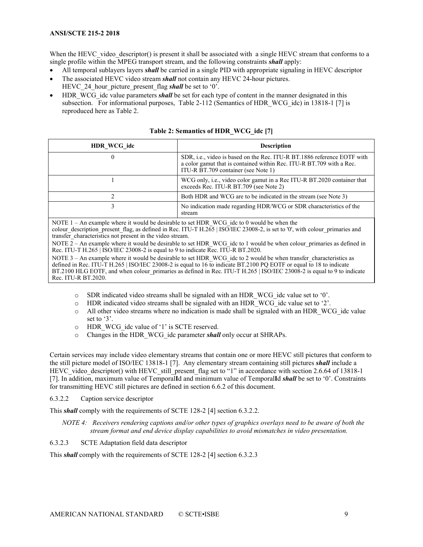When the HEVC video descriptor() is present it shall be associated with a single HEVC stream that conforms to a single profile within the MPEG transport stream, and the following constraints *shall* apply:

- All temporal sublayers layers *shall* be carried in a single PID with appropriate signaling in HEVC descriptor
- The associated HEVC video stream *shall* not contain any HEVC 24-hour pictures. HEVC\_24\_hour\_picture\_present\_flag *shall* be set to '0'.
- HDR\_WCG\_idc value parameters *shall* be set for each type of content in the manner designated in this subsection. For informational purposes, Table 2-112 (Semantics of HDR\_WCG\_idc) in 13818-1 [\[7\]](#page-3-8) is reproduced here as [Table 2.](#page-8-0)

<span id="page-8-0"></span>

| HDR_WCG_idc                                                                                                                                                                                                                                                                                                                                                                                                                                                                                         | <b>Description</b>                                                                                                                                                                     |  |
|-----------------------------------------------------------------------------------------------------------------------------------------------------------------------------------------------------------------------------------------------------------------------------------------------------------------------------------------------------------------------------------------------------------------------------------------------------------------------------------------------------|----------------------------------------------------------------------------------------------------------------------------------------------------------------------------------------|--|
|                                                                                                                                                                                                                                                                                                                                                                                                                                                                                                     | SDR, i.e., video is based on the Rec. ITU-R BT.1886 reference EOTF with<br>a color gamut that is contained within Rec. ITU-R BT.709 with a Rec.<br>ITU-R BT.709 container (see Note 1) |  |
|                                                                                                                                                                                                                                                                                                                                                                                                                                                                                                     | WCG only, i.e., video color gamut in a Rec ITU-R BT.2020 container that<br>exceeds Rec. ITU-R BT.709 (see Note 2)                                                                      |  |
| $\overline{c}$                                                                                                                                                                                                                                                                                                                                                                                                                                                                                      | Both HDR and WCG are to be indicated in the stream (see Note 3)                                                                                                                        |  |
| 3                                                                                                                                                                                                                                                                                                                                                                                                                                                                                                   | No indication made regarding HDR/WCG or SDR characteristics of the<br>stream                                                                                                           |  |
| NOTE $1 - An$ example where it would be desirable to set HDR WCG ide to 0 would be when the<br>colour description present flag, as defined in Rec. ITU-T H.265   ISO/IEC 23008-2, is set to '0', with colour primaries and<br>transfer characteristics not present in the video stream.<br>NOTE 2 – An example where it would be desirable to set HDR WCG ide to 1 would be when colour primaries as defined in<br>Rec. ITU-T H.265   ISO/IEC 23008-2 is equal to 9 to indicate Rec. ITU-R BT.2020. |                                                                                                                                                                                        |  |
| NOTE 3 - An example where it would be desirable to set HDR WCG idc to 2 would be when transfer characteristics as<br>defined in Rec. ITU-T H.265   ISO/IEC 23008-2 is equal to 16 to indicate BT.2100 PQ EOTF or equal to 18 to indicate<br>BT.2100 HLG EOTF, and when colour primaries as defined in Rec. ITU-T H.265   ISO/IEC 23008-2 is equal to 9 to indicate<br>Rec. ITU-R BT.2020.                                                                                                           |                                                                                                                                                                                        |  |

| Table 2: Semantics of HDR_WCG_idc [7] |
|---------------------------------------|
|---------------------------------------|

- o SDR indicated video streams shall be signaled with an HDR\_WCG\_idc value set to '0'.<br>  $\circ$  HDR indicated video streams shall be signaled with an HDR\_WCG\_idc value set to '2'.
- HDR indicated video streams shall be signaled with an HDR WCG idc value set to '2'.
- o All other video streams where no indication is made shall be signaled with an HDR\_WCG\_idc value set to '3'.
- o HDR\_WCG\_idc value of '1' is SCTE reserved.
- Changes in the HDR\_WCG\_idc parameter *shall* only occur at SHRAPs.

Certain services may include video elementary streams that contain one or more HEVC still pictures that conform to the still picture model of ISO/IEC 13818-1 [7]. Any elementary stream containing still pictures *shall* include a HEVC video descriptor() with HEVC still present flag set to "1" in accordance with section 2.6.64 of 13818-1 [7]. In addition, maximum value of Temporal**I**d and minimum value of Temporal**I**d *shall* be set to '0'. Constraints for transmitting HEVC still pictures are defined in sectio[n 6.6.2](#page-11-3) of this document.

6.3.2.2 Caption service descriptor

This *shall* comply with the requirements of SCTE 128-2 [4] section 6.3.2.2.

- *NOTE 4: Receivers rendering captions and/or other types of graphics overlays need to be aware of both the stream format and end device display capabilities to avoid mismatches in video presentation.*
- 6.3.2.3 SCTE Adaptation field data descriptor

This *shall* comply with the requirements of SCTE 128-2 [4] section 6.3.2.3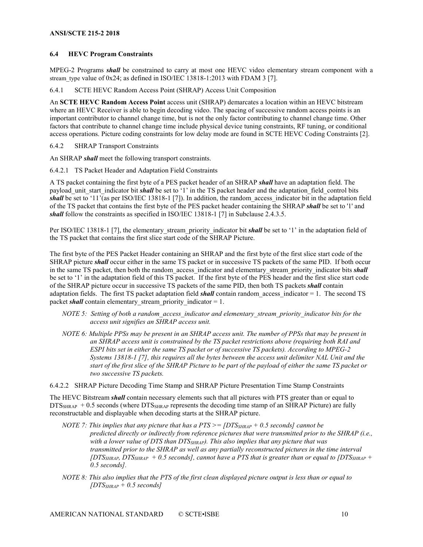#### <span id="page-9-0"></span>**6.4 HEVC Program Constraints**

MPEG-2 Programs *shall* be constrained to carry at most one HEVC video elementary stream component with a stream type value of  $0x24$ ; as defined in ISO/IEC 13818-1:2013 with FDAM 3 [\[7\].](#page-3-8)

<span id="page-9-1"></span>6.4.1 SCTE HEVC Random Access Point (SHRAP) Access Unit Composition

An **SCTE HEVC Random Access Point** access unit (SHRAP) demarcates a location within an HEVC bitstream where an HEVC Receiver is able to begin decoding video. The spacing of successive random access points is an important contributor to channel change time, but is not the only factor contributing to channel change time. Other factors that contribute to channel change time include physical device tuning constraints, RF tuning, or conditional access operations. Picture coding constraints for low delay mode are found in SCTE HEVC Coding Constraints [\[2\].](#page-3-7)

<span id="page-9-2"></span>6.4.2 SHRAP Transport Constraints

An SHRAP *shall* meet the following transport constraints.

6.4.2.1 TS Packet Header and Adaptation Field Constraints

A TS packet containing the first byte of a PES packet header of an SHRAP *shall* have an adaptation field. The payload unit start indicator bit *shall* be set to '1' in the TS packet header and the adaptation field control bits *shall* be set to '11'(as per ISO/IEC 13818-1 [7]). In addition, the random access indicator bit in the adaptation field of the TS packet that contains the first byte of the PES packet header containing the SHRAP *shall* be set to '1' and *shall* follow the constraints as specified in ISO/IEC 13818-1 [7] in Subclause 2.4.3.5.

Per ISO/IEC 13818-1 [7], the elementary\_stream\_priority\_indicator bit **shall** be set to '1' in the adaptation field of the TS packet that contains the first slice start code of the SHRAP Picture.

The first byte of the PES Packet Header containing an SHRAP and the first byte of the first slice start code of the SHRAP picture *shall* occur either in the same TS packet or in successive TS packets of the same PID. If both occur in the same TS packet, then both the random access indicator and elementary stream priority indicator bits *shall* be set to '1' in the adaptation field of this TS packet. If the first byte of the PES header and the first slice start code of the SHRAP picture occur in successive TS packets of the same PID, then both TS packets *shall* contain adaptation fields. The first TS packet adaptation field *shall* contain random\_access\_indicator = 1. The second TS packet *shall* contain elementary stream priority indicator = 1.

- *NOTE 5: Setting of both a random\_access\_indicator and elementary\_stream\_priority\_indicator bits for the access unit signifies an SHRAP access unit.*
- *NOTE 6: Multiple PPSs may be present in an SHRAP access unit. The number of PPSs that may be present in an SHRAP access unit is constrained by the TS packet restrictions above (requiring both RAI and ESPI bits set in either the same TS packet or of successive TS packets). According to MPEG-2 Systems 13818-1 [7], this requires all the bytes between the access unit delimiter NAL Unit and the start of the first slice of the SHRAP Picture to be part of the payload of either the same TS packet or two successive TS packets.*

6.4.2.2 SHRAP Picture Decoding Time Stamp and SHRAP Picture Presentation Time Stamp Constraints

The HEVC Bitstream *shall* contain necessary elements such that all pictures with PTS greater than or equal to  $DTS<sub>SHRAP</sub> + 0.5$  seconds (where  $DTS<sub>SHRAP</sub>$  represents the decoding time stamp of an SHRAP Picture) are fully reconstructable and displayable when decoding starts at the SHRAP picture.

- *NOTE 7: This implies that any picture that has a PTS >= [DTSSHRAP + 0.5 seconds] cannot be predicted directly or indirectly from reference pictures that were transmitted prior to the SHRAP (i.e., with a lower value of DTS than DTSSHRAP). This also implies that any picture that was transmitted prior to the SHRAP as well as any partially reconstructed pictures in the time interval*   $[DTS_{SHRAP}, DTS_{SHRAP} + 0.5$  seconds], cannot have a PTS that is greater than or equal to  $[DTS_{SHRAP} + 0.5$ *0.5 seconds].*
- *NOTE 8: This also implies that the PTS of the first clean displayed picture output is less than or equal to [DTSSHRAP + 0.5 seconds]*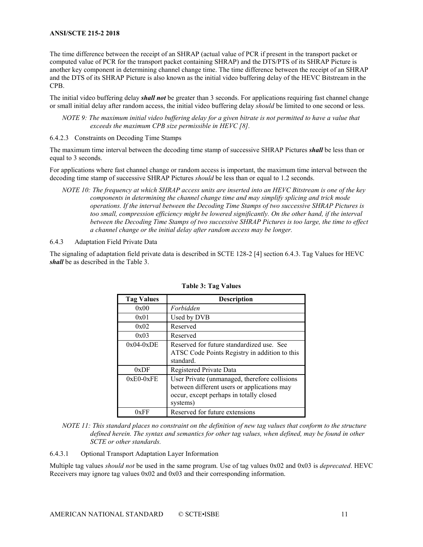The time difference between the receipt of an SHRAP (actual value of PCR if present in the transport packet or computed value of PCR for the transport packet containing SHRAP) and the DTS/PTS of its SHRAP Picture is another key component in determining channel change time. The time difference between the receipt of an SHRAP and the DTS of its SHRAP Picture is also known as the initial video buffering delay of the HEVC Bitstream in the CPB.

The initial video buffering delay *shall not* be greater than 3 seconds. For applications requiring fast channel change or small initial delay after random access, the initial video buffering delay *should* be limited to one second or less.

*NOTE 9: The maximum initial video buffering delay for a given bitrate is not permitted to have a value that exceeds the maximum CPB size permissible in HEV[C \[8\].](#page-3-6)*

6.4.2.3 Constraints on Decoding Time Stamps

The maximum time interval between the decoding time stamp of successive SHRAP Pictures *shall* be less than or equal to 3 seconds.

For applications where fast channel change or random access is important, the maximum time interval between the decoding time stamp of successive SHRAP Pictures *should* be less than or equal to 1.2 seconds.

*NOTE 10: The frequency at which SHRAP access units are inserted into an HEVC Bitstream is one of the key components in determining the channel change time and may simplify splicing and trick mode operations. If the interval between the Decoding Time Stamps of two successive SHRAP Pictures is*  too small, compression efficiency might be lowered significantly. On the other hand, if the interval *between the Decoding Time Stamps of two successive SHRAP Pictures is too large, the time to effect a channel change or the initial delay after random access may be longer.*

#### <span id="page-10-0"></span>6.4.3 Adaptation Field Private Data

<span id="page-10-1"></span>The signaling of adaptation field private data is described in SCTE 128-2 [4] section 6.4.3. Tag Values for HEVC *shall* be as described in the [Table 3.](#page-10-1)

| <b>Tag Values</b> | <b>Description</b>                                                                                                                                  |
|-------------------|-----------------------------------------------------------------------------------------------------------------------------------------------------|
| 0x00              | Forbidden                                                                                                                                           |
| 0x01              | Used by DVB                                                                                                                                         |
| 0x02              | Reserved                                                                                                                                            |
| 0x03              | Reserved                                                                                                                                            |
| $0x04-0xDE$       | Reserved for future standardized use. See<br>ATSC Code Points Registry in addition to this<br>standard.                                             |
| 0xDF              | Registered Private Data                                                                                                                             |
| $0xE0-0xFE$       | User Private (unmanaged, therefore collisions<br>between different users or applications may<br>occur, except perhaps in totally closed<br>systems) |
| 0xFF              | Reserved for future extensions                                                                                                                      |

**Table 3: Tag Values**

*NOTE 11: This standard places no constraint on the definition of new tag values that conform to the structure defined herein. The syntax and semantics for other tag values, when defined, may be found in other SCTE or other standards.* 

6.4.3.1 Optional Transport Adaptation Layer Information

Multiple tag values *should not* be used in the same program. Use of tag values 0x02 and 0x03 is *deprecated*. HEVC Receivers may ignore tag values 0x02 and 0x03 and their corresponding information.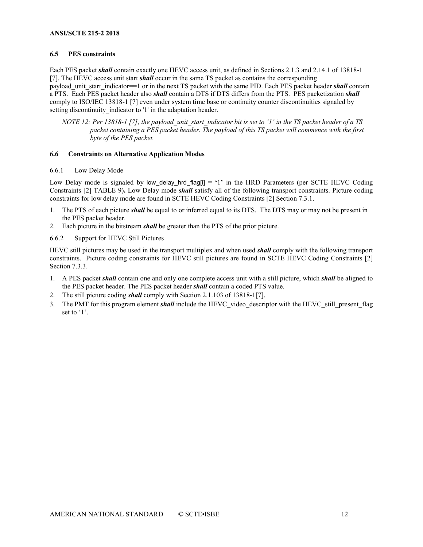#### <span id="page-11-0"></span>**6.5 PES constraints**

Each PES packet *shall* contain exactly one HEVC access unit, as defined in Sections 2.1.3 and 2.14.1 of 13818-1 [7]. The HEVC access unit start *shall* occur in the same TS packet as contains the corresponding payload unit start indicator==1 or in the next TS packet with the same PID. Each PES packet header *shall* contain a PTS. Each PES packet header also *shall* contain a DTS if DTS differs from the PTS. PES packetization *shall* comply to ISO/IEC 13818-1 [7] even under system time base or continuity counter discontinuities signaled by setting discontinuity indicator to '1' in the adaptation header.

*NOTE* 12: Per 13818-1 [7], the payload unit start indicator bit is set to '1' in the TS packet header of a TS *packet containing a PES packet header. The payload of this TS packet will commence with the first byte of the PES packet.*

#### <span id="page-11-1"></span>**6.6 Constraints on Alternative Application Modes**

<span id="page-11-2"></span>6.6.1 Low Delay Mode

Low Delay mode is signaled by low delay hrd flag[i]  $= '1'$  in the HRD Parameters (per SCTE HEVC Coding Constraints [2] TABLE 9)**.** Low Delay mode *shall* satisfy all of the following transport constraints. Picture coding constraints for low delay mode are found in SCTE HEVC Coding Constraints [\[2\]](#page-3-7) Section 7.3.1.

- 1. The PTS of each picture *shall* be equal to or inferred equal to its DTS. The DTS may or may not be present in the PES packet header.
- 2. Each picture in the bitstream *shall* be greater than the PTS of the prior picture.
- <span id="page-11-3"></span>6.6.2 Support for HEVC Still Pictures

HEVC still pictures may be used in the transport multiplex and when used *shall* comply with the following transport constraints. Picture coding constraints for HEVC still pictures are found in SCTE HEVC Coding Constraints [2] Section 7.3.3.

- 1. A PES packet *shall* contain one and only one complete access unit with a still picture, which *shall* be aligned to the PES packet header. The PES packet header *shall* contain a coded PTS value.
- 2. The still picture coding *shall* comply with Section 2.1.103 of 13818-[1\[7\].](#page-3-8)
- 3. The PMT for this program element *shall* include the HEVC video descriptor with the HEVC still present flag set to '1'.